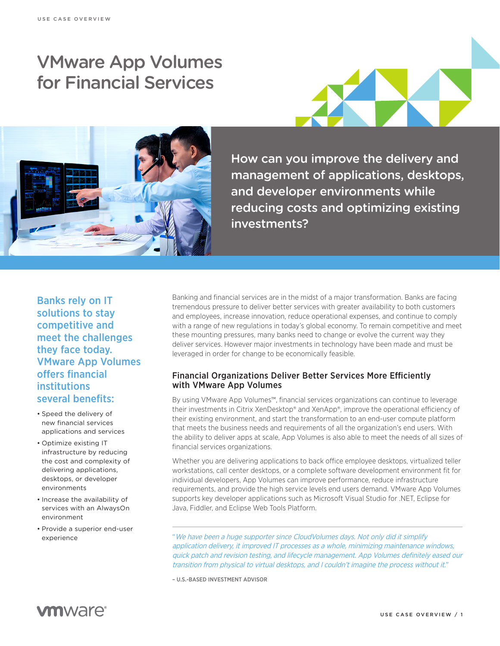# VMware App Volumes for Financial Services





How can you improve the delivery and management of applications, desktops, and developer environments while reducing costs and optimizing existing investments?

Banks rely on IT solutions to stay competitive and meet the challenges they face today. VMware App Volumes offers financial institutions several benefits:

- • Speed the delivery of new financial services applications and services
- • Optimize existing IT infrastructure by reducing the cost and complexity of delivering applications, desktops, or developer environments
- Increase the availability of services with an AlwaysOn environment
- • Provide a superior end-user experience

Banking and financial services are in the midst of a major transformation. Banks are facing tremendous pressure to deliver better services with greater availability to both customers and employees, increase innovation, reduce operational expenses, and continue to comply with a range of new regulations in today's global economy. To remain competitive and meet these mounting pressures, many banks need to change or evolve the current way they deliver services. However major investments in technology have been made and must be leveraged in order for change to be economically feasible.

#### Financial Organizations Deliver Better Services More Efficiently with VMware App Volumes

By using VMware App Volumes™, financial services organizations can continue to leverage their investments in Citrix XenDesktop® and XenApp®, improve the operational efficiency of their existing environment, and start the transformation to an end-user compute platform that meets the business needs and requirements of all the organization's end users. With the ability to deliver apps at scale, App Volumes is also able to meet the needs of all sizes of financial services organizations.

Whether you are delivering applications to back office employee desktops, virtualized teller workstations, call center desktops, or a complete software development environment fit for individual developers, App Volumes can improve performance, reduce infrastructure requirements, and provide the high service levels end users demand. VMware App Volumes supports key developer applications such as Microsoft Visual Studio for .NET, Eclipse for Java, Fiddler, and Eclipse Web Tools Platform.

"We have been a huge supporter since CloudVolumes days. Not only did it simplify application delivery, it improved IT processes as a whole, minimizing maintenance windows, quick patch and revision testing, and lifecycle management. App Volumes definitely eased our transition from physical to virtual desktops, and I couldn't imagine the process without it."

– U.S.-BASED INVESTMENT ADVISOR